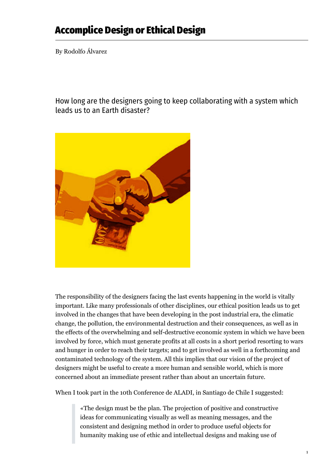## **Accomplice Design or Ethical Design**

By Rodolfo Álvarez

How long are the designers going to keep collaborating with a system which leads us to an Earth disaster?



The responsibility of the designers facing the last events happening in the world is vitally important. Like many professionals of other disciplines, our ethical position leads us to get involved in the changes that have been developing in the post industrial era, the climatic change, the pollution, the environmental destruction and their consequences, as well as in the effects of the overwhelming and self-destructive economic system in which we have been involved by force, which must generate profits at all costs in a short period resorting to wars and hunger in order to reach their targets; and to get involved as well in a forthcoming and contaminated technology of the system. All this implies that our vision of the project of designers might be useful to create a more human and sensible world, which is more concerned about an immediate present rather than about an uncertain future.

When I took part in the 10th Conference de ALADI, in Santiago de Chile I suggested:

«The design must be the plan. The projection of positive and constructive ideas for communicating visually as well as meaning messages, and the consistent and designing method in order to produce useful objects for humanity making use of ethic and intellectual designs and making use of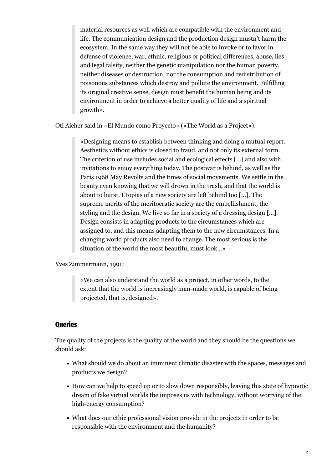material resources as well which are compatible with the environment and life. The communication design and the production design mustn't harm the ecosystem. In the same way they will not be able to invoke or to favor in defense of violence, war, ethnic, religious or political differences, abuse, lies and legal falsity, neither the genetic manipulation nor the human poverty, neither diseases or destruction, nor the consumption and redistribution of poisonous substances which destroy and pollute the environment. Fulfilling its original creative sense, design must benefit the human being and its environment in order to achieve a better quality of life and a spiritual growth».

Otl Aicher said in «El Mundo como Proyecto» («The World as a Project»):

«Designing means to establish between thinking and doing a mutual report. Aesthetics without ethics is closed to fraud, and not only its external form. The criterion of use includes social and ecological effects […] and also with invitations to enjoy everything today. The postwar is behind, as well as the Paris 1968 May Revolts and the times of social movements. We settle in the beauty even knowing that we will drown in the trash, and that the world is about to burst. Utopias of a new society are left behind too […]. The supreme merits of the meritocratic society are the embellishment, the styling and the design. We live so far in a society of a dressing design […]. Design consists in adapting products to the circumstances which are assigned to, and this means adapting them to the new circumstances. In a changing world products also need to change. The most serious is the situation of the world the most beautiful must look…»

Yves Zimmermann, 1991:

«We can also understand the world as a project, in other words, to the extent that the world is increasingly man-made world, is capable of being projected, that is, designed».

## **Queries**

The quality of the projects is the quality of the world and they should be the questions we should ask:

- What should we do about an imminent climatic disaster with the spaces, messages and products we design?
- How can we help to speed up or to slow down responsibly, leaving this state of hypnotic dream of fake virtual worlds the imposes us with technology, without worrying of the high-energy consumption?
- What does our ethic professional vision provide in the projects in order to be responsible with the environment and the humanity?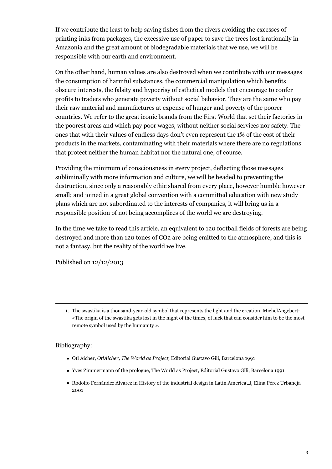If we contribute the least to help saving fishes from the rivers avoiding the excesses of printing inks from packages, the excessive use of paper to save the trees lost irrationally in Amazonia and the great amount of biodegradable materials that we use, we will be responsible with our earth and environment.

On the other hand, human values are also destroyed when we contribute with our messages the consumption of harmful substances, the commercial manipulation which benefits obscure interests, the falsity and hypocrisy of esthetical models that encourage to confer profits to traders who generate poverty without social behavior. They are the same who pay their raw material and manufactures at expense of hunger and poverty of the poorer countries. We refer to the great iconic brands from the First World that set their factories in the poorest areas and which pay poor wages, without neither social services nor safety. The ones that with their values of endless days don't even represent the 1% of the cost of their products in the markets, contaminating with their materials where there are no regulations that protect neither the human habitat nor the natural one, of course.

Providing the minimum of consciousness in every project, deflecting those messages subliminally with more information and culture, we will be headed to preventing the destruction, since only a reasonably ethic shared from every place, however humble however small; and joined in a great global convention with a committed education with new study plans which are not subordinated to the interests of companies, it will bring us in a responsible position of not being accomplices of the world we are destroying.

In the time we take to read this article, an equivalent to 120 football fields of forests are being destroyed and more than 120 tones of CO2 are being emitted to the atmosphere, and this is not a fantasy, but the reality of the world we live.

Published on 12/12/2013

## Bibliography:

- Otl Aicher, *OtlAicher, The World as Project,* Editorial Gustavo Gili, Barcelona 1991
- Yves Zimmermann of the prologue, The World as Project, Editorial Gustavo Gili, Barcelona 1991
- Rodolfo Fernández Alvarez in History of the industrial design in Latin America<sup> $\Box$ </sup>, Elina Pérez Urbaneja 2001

<sup>1.</sup> The swastika is a thousand-year-old symbol that represents the light and the creation. MichelAngebert: «The origin of the swastika gets lost in the night of the times, of luck that can consider him to be the most remote symbol used by the humanity ».